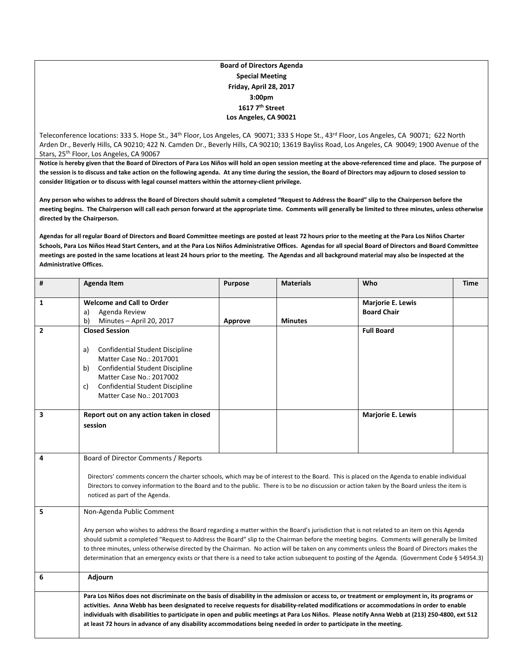## **Board of Directors Agenda Special Meeting Friday, April 28, 2017 3:00pm 1617 7th Street Los Angeles, CA 90021**

Teleconference locations: 333 S. Hope St., 34<sup>th</sup> Floor, Los Angeles, CA 90071; 333 S Hope St., 43<sup>rd</sup> Floor, Los Angeles, CA 90071; 622 North Arden Dr., Beverly Hills, CA 90210; 422 N. Camden Dr., Beverly Hills, CA 90210; 13619 Bayliss Road, Los Angeles, CA 90049; 1900 Avenue of the Stars, 25<sup>th</sup> Floor, Los Angeles, CA 90067

Notice is hereby given that the Board of Directors of Para Los Niños will hold an open session meeting at the above-referenced time and place. The purpose of the session is to discuss and take action on the following agenda. At any time during the session, the Board of Directors may adjourn to closed session to **consider litigation or to discuss with legal counsel matters within the attorney‐client privilege.**

Any person who wishes to address the Board of Directors should submit a completed "Request to Address the Board" slip to the Chairperson before the meeting begins. The Chairperson will call each person forward at the appropriate time. Comments will generally be limited to three minutes, unless otherwise **directed by the Chairperson.**

Agendas for all regular Board of Directors and Board Committee meetings are posted at least 72 hours prior to the meeting at the Para Los Niños Charter Schools, Para Los Niños Head Start Centers, and at the Para Los Niños Administrative Offices. Agendas for all special Board of Directors and Board Committee meetings are posted in the same locations at least 24 hours prior to the meeting. The Agendas and all background material may also be inspected at the **Administrative Offices.**

| #              | <b>Agenda Item</b>                                                                                                                                                                                                                                                                                                                                                                                                                                                                                                                                                                                                        | <b>Purpose</b> | <b>Materials</b> | Who                                            | Time |  |
|----------------|---------------------------------------------------------------------------------------------------------------------------------------------------------------------------------------------------------------------------------------------------------------------------------------------------------------------------------------------------------------------------------------------------------------------------------------------------------------------------------------------------------------------------------------------------------------------------------------------------------------------------|----------------|------------------|------------------------------------------------|------|--|
| 1              | <b>Welcome and Call to Order</b><br>Agenda Review<br>a)<br>b)<br>Minutes - April 20, 2017                                                                                                                                                                                                                                                                                                                                                                                                                                                                                                                                 | Approve        | <b>Minutes</b>   | <b>Marjorie E. Lewis</b><br><b>Board Chair</b> |      |  |
| $\overline{2}$ | <b>Closed Session</b><br><b>Confidential Student Discipline</b><br>a)<br>Matter Case No.: 2017001<br>b)<br><b>Confidential Student Discipline</b><br>Matter Case No.: 2017002<br><b>Confidential Student Discipline</b><br>C)<br>Matter Case No.: 2017003                                                                                                                                                                                                                                                                                                                                                                 |                |                  | <b>Full Board</b>                              |      |  |
| 3              | Report out on any action taken in closed<br>session                                                                                                                                                                                                                                                                                                                                                                                                                                                                                                                                                                       |                |                  | <b>Marjorie E. Lewis</b>                       |      |  |
| 4              | Board of Director Comments / Reports<br>Directors' comments concern the charter schools, which may be of interest to the Board. This is placed on the Agenda to enable individual<br>Directors to convey information to the Board and to the public. There is to be no discussion or action taken by the Board unless the item is<br>noticed as part of the Agenda.                                                                                                                                                                                                                                                       |                |                  |                                                |      |  |
| 5              | Non-Agenda Public Comment<br>Any person who wishes to address the Board regarding a matter within the Board's jurisdiction that is not related to an item on this Agenda<br>should submit a completed "Request to Address the Board" slip to the Chairman before the meeting begins. Comments will generally be limited<br>to three minutes, unless otherwise directed by the Chairman. No action will be taken on any comments unless the Board of Directors makes the<br>determination that an emergency exists or that there is a need to take action subsequent to posting of the Agenda. (Government Code § 54954.3) |                |                  |                                                |      |  |
| 6              | Adjourn                                                                                                                                                                                                                                                                                                                                                                                                                                                                                                                                                                                                                   |                |                  |                                                |      |  |
|                | Para Los Niños does not discriminate on the basis of disability in the admission or access to, or treatment or employment in, its programs or<br>activities. Anna Webb has been designated to receive requests for disability-related modifications or accommodations in order to enable<br>individuals with disabilities to participate in open and public meetings at Para Los Niños. Please notify Anna Webb at (213) 250-4800, ext 512<br>at least 72 hours in advance of any disability accommodations being needed in order to participate in the meeting.                                                          |                |                  |                                                |      |  |